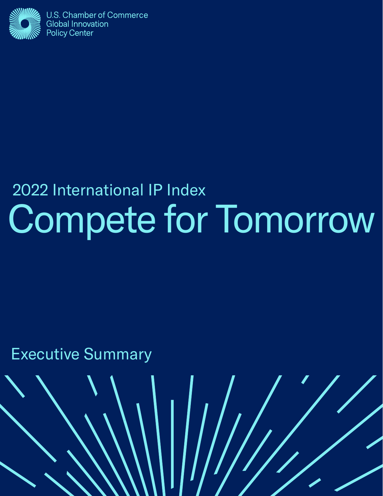

### al IP Index<br>and  $\Gamma$ 2022 International IP Index Compete for Tomorrow

 $\left(\left|\left|\left|\right|\right|\right| \right)$ 

Executive Summary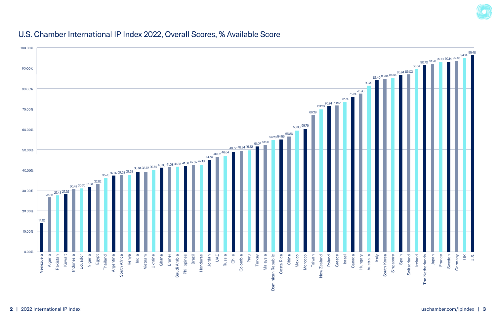### U.S. Chamber International IP Index 2022, Overall Scores, % Available Score



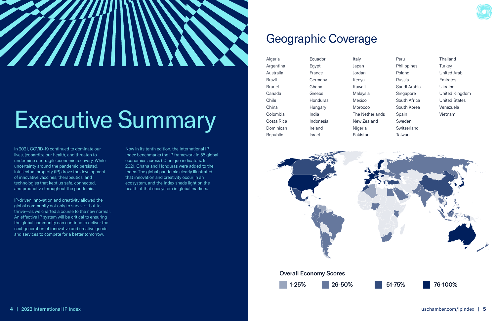### Geographic Coverage

| Algeria    |  |
|------------|--|
| Argentina  |  |
| Australia  |  |
| Brazil     |  |
| Brunei     |  |
| Canada     |  |
| Chile      |  |
| China      |  |
| Colombia   |  |
| Costa Rica |  |
| Dominican  |  |
| Republic   |  |

Ecuador Egypt France Germany Ghana Greece Honduras Hungary India Indonesia Ireland Israel

Italy Japan Jordan Kenya Kuwait Malaysia Mexico **Morocco** The Netherlands New Zealand Nigeria Pakistan



Peru Philippines Poland Russia Saudi Arabia Singapore South Africa South Korea Spain Sweden Switzerland Taiwan

Thailand **Turkey** United Arab Emirates Ukraine United Kingdom United States Venezuela Vietnam





#### Overall Economy Scores





# ///////

# Executive Summary

In 2021, COVID-19 continued to dominate our lives, jeopardize our health, and threaten to undermine our fragile economic recovery. While uncertainty around the pandemic persisted, intellectual property (IP) drove the development of innovative vaccines, therapeutics, and technologies that kept us safe, connected, and productive throughout the pandemic.

IP-driven innovation and creativity allowed the global community not only to survive—but to thrive—as we charted a course to the new normal. An effective IP system will be critical to ensuring the global community can continue to deliver the next generation of innovative and creative goods and services to compete for a better tomorrow.

Now in its tenth edition, the International IP Index benchmarks the IP framework in 55 global economies across 50 unique indicators. In 2021, Ghana and Honduras were added to the Index. The global pandemic clearly illustrated that innovation and creativity occur in an ecosystem, and the Index sheds light on the health of that ecosystem in global markets.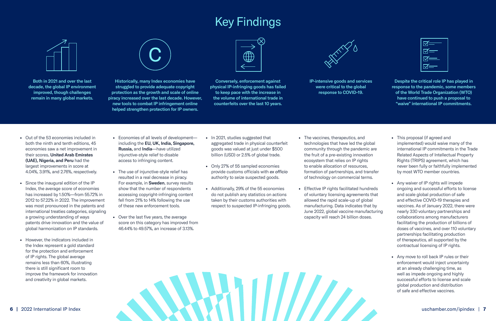

 $M =$  $\overline{\bowtie}$  $\boxtimes =$ 

- Out of the 53 economies included in both the ninth and tenth editions, 45 economies saw a net improvement in their scores. United Arab Emirates (UAE), Nigeria, and Peru had the largest improvements in score at 4.04%, 3.91%, and 2.76%, respectively.
- Since the inaugural edition of the IP Index, the average score of economies has increased by 1.50%—from 55.72% in 2012 to 57.22% in 2022. The improvement was most pronounced in the patents and international treaties categories, signaling a growing understanding of ways patents drive innovation and the value of global harmonization on IP standards.
- However, the indicators included in the Index represent a gold standard for the protection and enforcement of IP rights. The global average remains less than 60%, illustrating there is still significant room to improve the framework for innovation and creativity in global markets.
- Economies of all levels of development including the EU, UK, India, Singapore, Russia, and India—have utilized injunctive-style relief to disable access to infringing content.
- The use of injunctive-style relief has resulted in a real decrease in piracy. For example, in Sweden, survey results show that the number of respondents accessing copyright-infringing content fell from 21% to 14% following the use of these new enforcement tools.
- Over the last five years, the average score on this category has improved from 46.44% to 49.57%, an increase of 3.13%.
- In 2021, studies suggested that aggregated trade in physical counterfeit goods was valued at just under \$500 billion (USD) or 2.5% of global trade.
- Only 27% of 55 sampled economies provide customs officials with *ex officio* authority to seize suspected goods.
- Additionally, 29% of the 55 economies do not publish any statistics on actions taken by their customs authorities with respect to suspected IP-infringing goods.
- The vaccines, therapeutics, and technologies that have led the global community through the pandemic are the fruit of a pre-existing innovation ecosystem that relies on IP rights to enable allocation of resources, formation of partnerships, and transfer of technology on commercial terms.
- Effective IP rights facilitated hundreds of voluntary licensing agreements that allowed the rapid scale-up of global manufacturing. Data indicates that by June 2022, global vaccine manufacturing capacity will reach 24 billion doses.
- This proposal (if agreed and implemented) would waive many of the international IP commitments in the Trade Related Aspects of Intellectual Property Rights (TRIPS) agreement, which has never been fully or faithfully implemented by most WTO member countries.
- Any waiver of IP rights will impede ongoing and successful efforts to license and scale global production of safe and effective COVID-19 therapies and vaccines. As of January 2022, there were nearly 330 voluntary partnerships and collaborations among manufacturers facilitating the production of billions of doses of vaccines, and over 110 voluntary partnerships facilitating production of therapeutics, all supported by the contractual licensing of IP rights.
- Any move to roll back IP rules or their enforcement would inject uncertainty at an already challenging time, as well as impede ongoing and highly successful efforts to license and scale global production and distribution of safe and effective vaccines.

### Key Findings



Both in 2021 and over the last decade, the global IP environment improved, though challenges remain in many global markets.



Historically, many Index economies have struggled to provide adequate copyright protection as the growth and scale of online piracy increased over the last decade. However, new tools to combat IP infringement online helped strengthen protection for IP owners.



Conversely, enforcement against physical IP-infringing goods has failed to keep pace with the increase in the volume of international trade in counterfeits over the last 10 years.



IP-intensive goods and services were critical to the global response to COVID-19.

Despite the critical role IP has played in response to the pandemic, some members of the World Trade Organization (WTO) have continued to push a proposal to "waive" international IP commitments.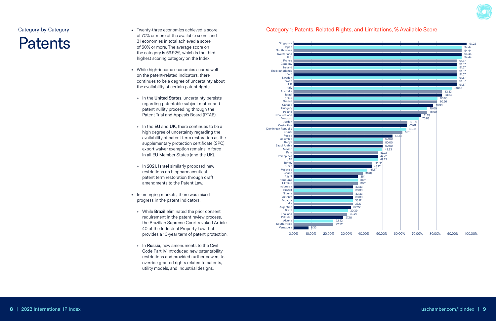

- Twenty-three economies achieved a score of 70% or more of the available score, and 31 economies in total achieved a score of 50% or more. The average score on the category is 59.92%, which is the third highest scoring category on the Index.
- While high-income economies scored well on the patent-related indicators, there continues to be a degree of uncertainty about the availability of certain patent rights.
	- » In the United States, uncertainty persists regarding patentable subject matter and patent nullity proceeding through the Patent Trial and Appeals Board (PTAB).
	- » In the EU and UK, there continues to be a high degree of uncertainty regarding the availability of patent term restoration as the supplementary protection certificate (SPC) export waiver exemption remains in force in all EU Member States (and the UK).
	- » In 2021, Israel similarly proposed new restrictions on biopharmaceutical patent term restoration through draft amendments to the Patent Law.
- In emerging markets, there was mixed progress in the patent indicators.
	- » While Brazil eliminated the prior consent requirement in the patent review process, the Brazilian Supreme Court revoked Article 40 of the Industrial Property Law that provides a 10-year term of patent protection.
	- » In Russia, new amendments to the Civil Code Part IV introduced new patentability restrictions and provided further powers to override granted rights related to patents, utility models, and industrial designs.

### **Patents**



### Category 1: Patents, Related Rights, and Limitations, % Available Score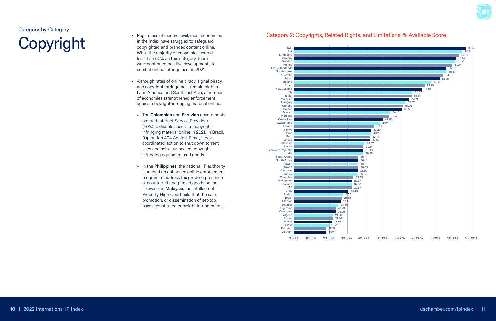- Regardless of income level, most economies in the Index have struggled to safeguard copyrighted and branded content online. While the majority of economies scored less than 50% on this category, there were continued positive developments to combat online infringement in 2021.
- Although rates of online piracy, signal piracy, and copyright infringement remain high in Latin America and Southeast Asia, a number of economies strengthened enforcement against copyright-infringing material online.
	- » The **Colombian** and **Peruvian** governments ordered Internet Service Providers (ISPs) to disable access to copyrightinfringing material online in 2021. In Brazil, "Operation 404 Against Piracy" took coordinated action to shut down torrent sites and seize suspected copyrightinfringing equipment and goods.
	- » In the Philippines, the national IP authority launched an enhanced online enforcement program to address the growing presence of counterfeit and pirated goods online. Likewise, in Malaysia, the Intellectual Property High Court held that the sale, promotion, or dissemination of set-top boxes constituted copyright infringement.

# Copyright





### Category 2: Copyrights, Related Rights, and Limitations, % Available Score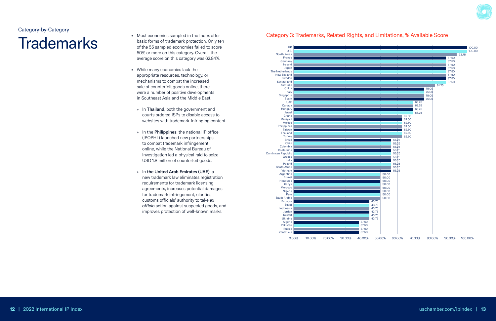### **Trademarks**

- Most economies sampled in the Index offer basic forms of trademark protection. Only ten of the 55 sampled economies failed to score 50% or more on this category. Overall, the average score on this category was 62.84%.
- While many economies lack the appropriate resources, technology, or mechanisms to combat the increased sale of counterfeit goods online, there were a number of positive developments in Southeast Asia and the Middle East.
	- » In Thailand, both the government and courts ordered ISPs to disable access to websites with trademark-infringing content.
	- » In the Philippines, the national IP office (IPOPHL) launched new partnerships to combat trademark infringement online, while the National Bureau of Investigation led a physical raid to seize USD 1.8 million of counterfeit goods.
	- » In the United Arab Emirates (UAE), a new trademark law eliminates registration requirements for trademark licensing agreements, increases potential damages for trademark infringement, clarifies customs officials' authority to take ex officio action against suspected goods, and improves protection of well-known marks.

#### Category 3: Trademarks, Related Rights, and Limitations, % Available Score



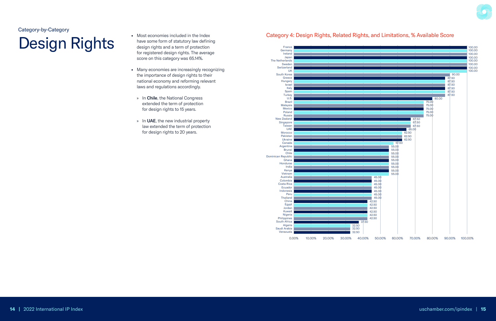### **Design Rights**

- Most economies included in the Index have some form of statutory law defining design rights and a term of protection for registered design rights. The average score on this category was 65.14%.
- Many economies are increasingly recognizing the importance of design rights to their national economy and reforming relevant laws and regulations accordingly.
	- » In Chile, the National Congress extended the term of protection for design rights to 15 years.
	- » In UAE, the new industrial property law extended the term of protection for design rights to 20 years.

#### Category 4: Design Rights, Related Rights, and Limitations, % Available Score



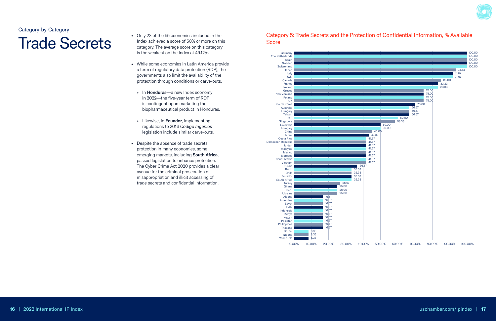### **Trade Secrets**

- Only 23 of the 55 economies included in the Index achieved a score of 50% or more on this category. The average score on this category is the weakest on the Index at 49.12%.
- While some economies in Latin America provide a term of regulatory data protection (RDP), the governments also limit the availability of the protection through conditions or carve-outs.
	- » In Honduras-a new Index economy in 2022-the five-year term of RDP is contingent upon marketing the biopharmaceutical product in Honduras.
	- » Likewise, in Ecuador, implementing regulations to 2016 Código Ingenios legislation include similar carve-outs.
- Despite the absence of trade secrets protection in many economies, some emerging markets, including South Africa, passed legislation to enhance protection. The Cyber Crime Act 2020 provides a clear avenue for the criminal prosecution of misappropriation and illicit accessing of trade secrets and confidential information.

#### Category 5: Trade Secrets and the Protection of Confidential Information, % Available **Score**



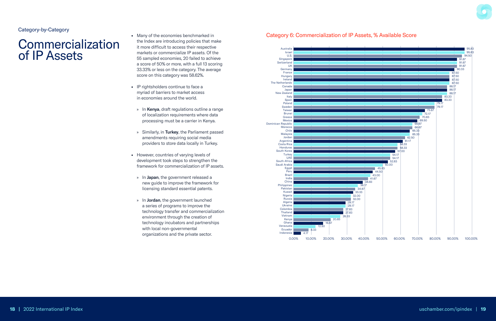

- Many of the economies benchmarked in the Index are introducing policies that make it more difficult to access their respective markets or commercialize IP assets. Of the 55 sampled economies, 20 failed to achieve a score of 50% or more, with a full 13 scoring 33.33% or less on the category. The average score on this category was 58.62%.
- IP rightsholders continue to face a myriad of barriers to market access in economies around the world.
	- » In Kenya, draft regulations outline a range of localization requirements where data processing must be a carrier in Kenya.
	- » Similarly, in Turkey, the Parliament passed amendments requiring social media providers to store data locally in Turkey.
- However, countries of varying levels of development took steps to strengthen the framework for commercialization of IP assets.
	- » In Japan, the government released a new guide to improve the framework for licensing standard essential patents.
	- » In Jordan, the government launched a series of programs to improve the technology transfer and commercialization environment through the creation of technology incubators and partnerships with local non-governmental organizations and the private sector.

### Commercialization of IP Assets



### Category 6: Commercialization of IP Assets, % Available Score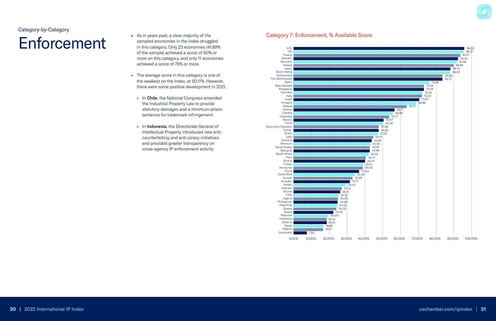- As in years past, a clear majority of the sampled economies in the Index struggled in this category. Only 23 economies (41.89% of the sample) achieved a score of 50% or more on this category, and only 11 economies achieved a score of 75% or more.
- The average score in this category is one of the weakest on the Index, at 50.11%. However, there were some positive development in 2021.
	- » In Chile, the National Congress amended the Industrial Property Law to provide statutory damages and a minimum prison sentence for trademark infringement.
	- » In Indonesia, the Directorate General of Intellectual Property introduced new anticounterfeiting and anti-piracy initiatives and provided greater transparency on cross-agency IP enforcement activity.

## Enforcement





#### Category 7: Enforcement, % Available Score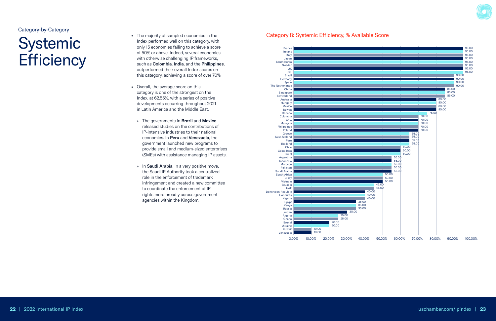

### Systemic **Efficiency**

- The majority of sampled economies in the Index performed well on this category, with only 15 economies failing to achieve a score of 50% or above. Indeed, several economies with otherwise challenging IP frameworks, such as Colombia, India, and the Philippines, outperformed their overall Index scores on this category, achieving a score of over 70%.
- Overall, the average score on this category is one of the strongest on the Index, at 62.55%, with a series of positive developments occurring throughout 2021 in Latin America and the Middle East.
	- » The governments in Brazil and Mexico released studies on the contributions of IP-intensive industries to their national economies. In Peru and Venezuela, the government launched new programs to provide small and medium-sized enterprises (SMEs) with assistance managing IP assets.
	- » In Saudi Arabia, in a very positive move, the Saudi IP Authority took a centralized role in the enforcement of trademark infringement and created a new committee to coordinate the enforcement of IP rights more broadly across government agencies within the Kingdom.

#### Category-by-Category



### Category 8: Systemic Efficiency, % Available Score